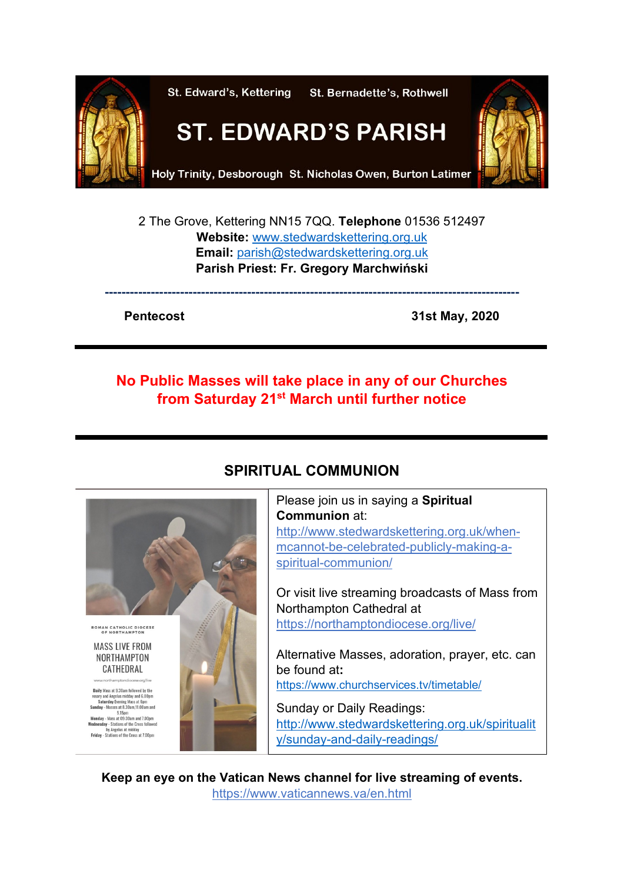

2 The Grove, Kettering NN15 7QQ. **Telephone** 01536 512497 **Website:** [www.stedwardskettering.org.uk](http://www.stedwardskettering.org.uk/) **Email:** [parish@stedwardskettering.org.uk](mailto:parish@stedwardskettering.org.uk) **Parish Priest: Fr. Gregory Marchwiński**

**---------------------------------------------------------------------------------------------------**

**Pentecost 31st May, 2020**

## **No Public Masses will take place in any of our Churches from Saturday 21st March until further notice**



# **SPIRITUAL COMMUNION**

Please join us in saying a **Spiritual Communion** at: [http://www.stedwardskettering.org.uk/when](http://www.stedwardskettering.org.uk/when-mass-cannot-be-celebrated-publicly-making-a-spiritual-communion/)[mcannot-be-celebrated-publicly-making-a](http://www.stedwardskettering.org.uk/when-mass-cannot-be-celebrated-publicly-making-a-spiritual-communion/)[spiritual-communion/](http://www.stedwardskettering.org.uk/when-mass-cannot-be-celebrated-publicly-making-a-spiritual-communion/)

Or visit live streaming broadcasts of Mass from Northampton Cathedral at <https://northamptondiocese.org/live/>

Alternative Masses, adoration, prayer, etc. can be found at**:**  <https://www.churchservices.tv/timetable/>

Sunday or Daily Readings: [http://www.stedwardskettering.org.uk/spiritualit](http://www.stedwardskettering.org.uk/spirituality/sunday-and-daily-readings/) [y/sunday-and-daily-readings/](http://www.stedwardskettering.org.uk/spirituality/sunday-and-daily-readings/)

**Keep an eye on the Vatican News channel for live streaming of events.**  <https://www.vaticannews.va/en.html>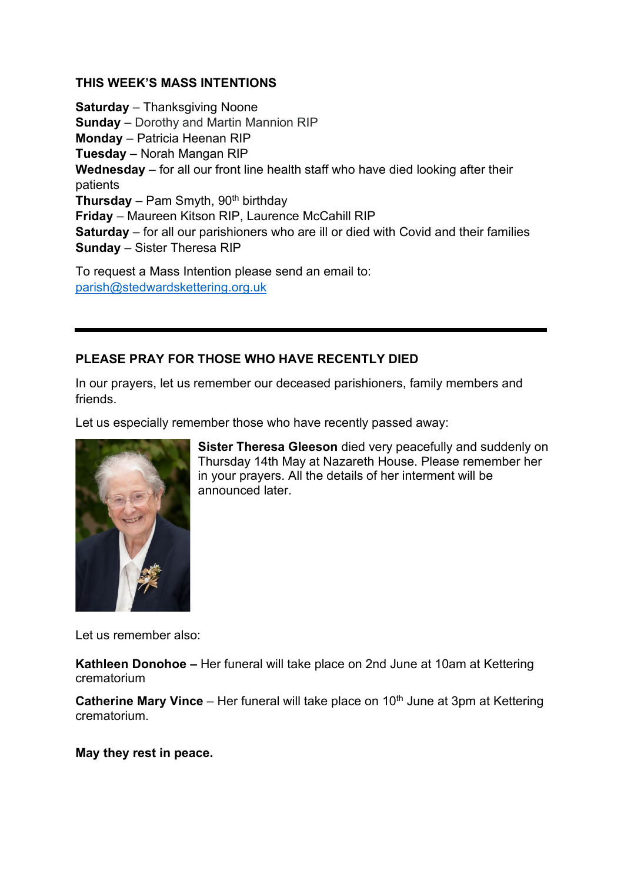#### **THIS WEEK'S MASS INTENTIONS**

**Saturday** – Thanksgiving Noone **Sunday** – Dorothy and Martin Mannion RIP **Monday** – Patricia Heenan RIP **Tuesday** – Norah Mangan RIP **Wednesday** – for all our front line health staff who have died looking after their patients **Thursday** – Pam Smyth, 90<sup>th</sup> birthday **Friday** – Maureen Kitson RIP, Laurence McCahill RIP **Saturday** – for all our parishioners who are ill or died with Covid and their families **Sunday** – Sister Theresa RIP

To request a Mass Intention please send an email to: [parish@stedwardskettering.org.uk](mailto:parish@stedwardskettering.org.uk)

### **PLEASE PRAY FOR THOSE WHO HAVE RECENTLY DIED**

In our prayers, let us remember our deceased parishioners, family members and friends.

Let us especially remember those who have recently passed away:



**Sister Theresa Gleeson** died very peacefully and suddenly on Thursday 14th May at Nazareth House. Please remember her in your prayers. All the details of her interment will be announced later.

Let us remember also:

**Kathleen Donohoe –** Her funeral will take place on 2nd June at 10am at Kettering crematorium

**Catherine Mary Vince** – Her funeral will take place on 10<sup>th</sup> June at 3pm at Kettering crematorium.

**May they rest in peace.**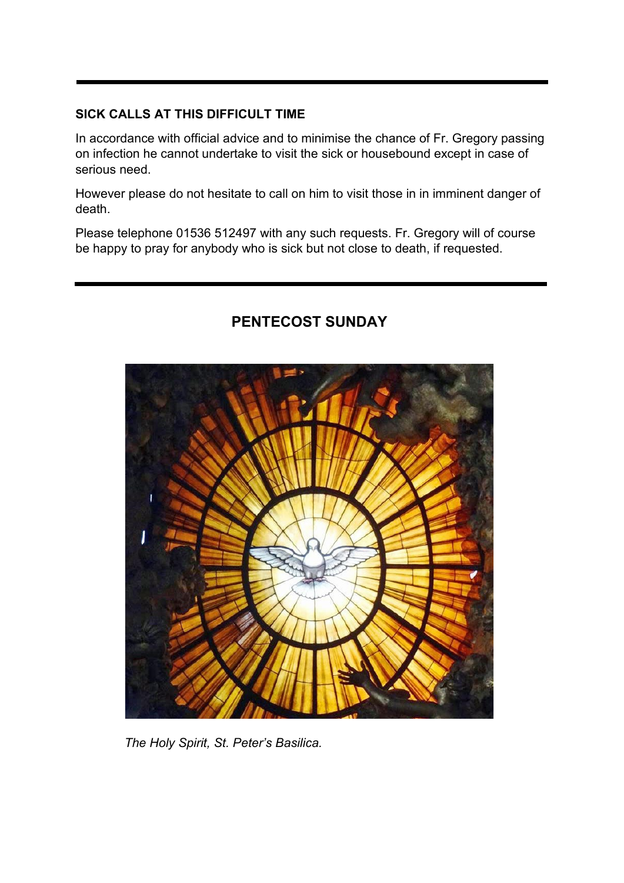### **SICK CALLS AT THIS DIFFICULT TIME**

In accordance with official advice and to minimise the chance of Fr. Gregory passing on infection he cannot undertake to visit the sick or housebound except in case of serious need.

However please do not hesitate to call on him to visit those in in imminent danger of death.

Please telephone 01536 512497 with any such requests. Fr. Gregory will of course be happy to pray for anybody who is sick but not close to death, if requested.



## **PENTECOST SUNDAY**

 *The Holy Spirit, St. Peter's Basilica.*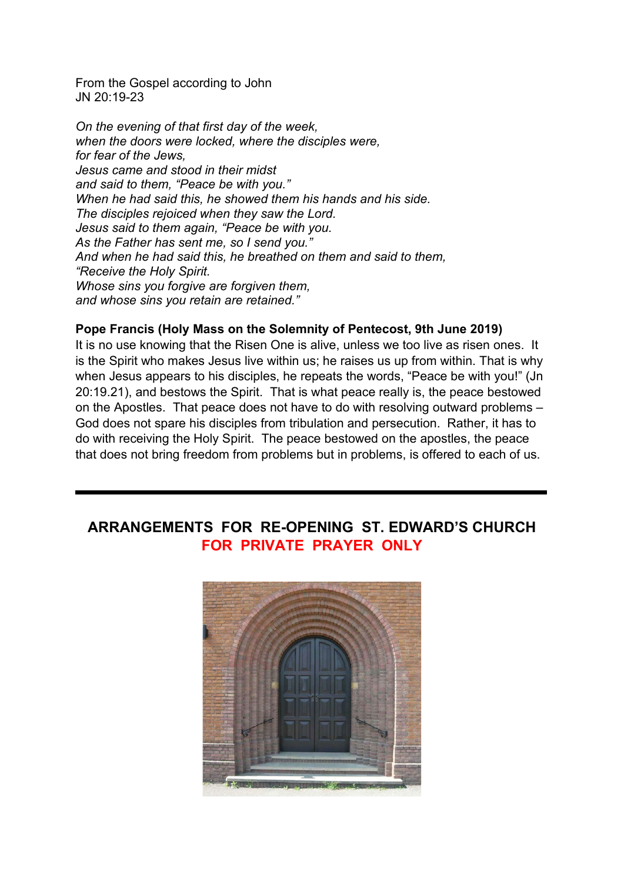From the Gospel according to John JN 20:19-23

*On the evening of that first day of the week, when the doors were locked, where the disciples were, for fear of the Jews, Jesus came and stood in their midst and said to them, "Peace be with you." When he had said this, he showed them his hands and his side. The disciples rejoiced when they saw the Lord. Jesus said to them again, "Peace be with you. As the Father has sent me, so I send you." And when he had said this, he breathed on them and said to them, "Receive the Holy Spirit. Whose sins you forgive are forgiven them, and whose sins you retain are retained."*

#### **Pope Francis (Holy Mass on the Solemnity of Pentecost, 9th June 2019)**

It is no use knowing that the Risen One is alive, unless we too live as risen ones. It is the Spirit who makes Jesus live within us; he raises us up from within. That is why when Jesus appears to his disciples, he repeats the words, "Peace be with you!" (Jn 20:19.21), and bestows the Spirit. That is what peace really is, the peace bestowed on the Apostles. That peace does not have to do with resolving outward problems – God does not spare his disciples from tribulation and persecution. Rather, it has to do with receiving the Holy Spirit. The peace bestowed on the apostles, the peace that does not bring freedom from problems but in problems, is offered to each of us.

## **ARRANGEMENTS FOR RE-OPENING ST. EDWARD'S CHURCH FOR PRIVATE PRAYER ONLY**

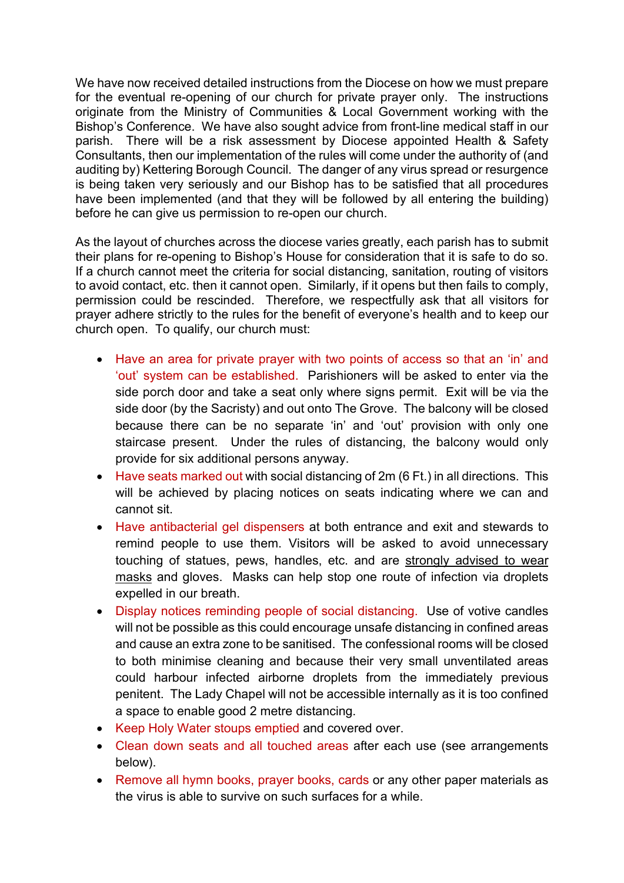We have now received detailed instructions from the Diocese on how we must prepare for the eventual re-opening of our church for private prayer only. The instructions originate from the Ministry of Communities & Local Government working with the Bishop's Conference. We have also sought advice from front-line medical staff in our parish. There will be a risk assessment by Diocese appointed Health & Safety Consultants, then our implementation of the rules will come under the authority of (and auditing by) Kettering Borough Council. The danger of any virus spread or resurgence is being taken very seriously and our Bishop has to be satisfied that all procedures have been implemented (and that they will be followed by all entering the building) before he can give us permission to re-open our church.

As the layout of churches across the diocese varies greatly, each parish has to submit their plans for re-opening to Bishop's House for consideration that it is safe to do so. If a church cannot meet the criteria for social distancing, sanitation, routing of visitors to avoid contact, etc. then it cannot open. Similarly, if it opens but then fails to comply, permission could be rescinded. Therefore, we respectfully ask that all visitors for prayer adhere strictly to the rules for the benefit of everyone's health and to keep our church open. To qualify, our church must:

- Have an area for private prayer with two points of access so that an 'in' and 'out' system can be established. Parishioners will be asked to enter via the side porch door and take a seat only where signs permit. Exit will be via the side door (by the Sacristy) and out onto The Grove. The balcony will be closed because there can be no separate 'in' and 'out' provision with only one staircase present. Under the rules of distancing, the balcony would only provide for six additional persons anyway.
- Have seats marked out with social distancing of 2m (6 Ft.) in all directions. This will be achieved by placing notices on seats indicating where we can and cannot sit.
- Have antibacterial gel dispensers at both entrance and exit and stewards to remind people to use them. Visitors will be asked to avoid unnecessary touching of statues, pews, handles, etc. and are strongly advised to wear masks and gloves. Masks can help stop one route of infection via droplets expelled in our breath.
- Display notices reminding people of social distancing. Use of votive candles will not be possible as this could encourage unsafe distancing in confined areas and cause an extra zone to be sanitised. The confessional rooms will be closed to both minimise cleaning and because their very small unventilated areas could harbour infected airborne droplets from the immediately previous penitent. The Lady Chapel will not be accessible internally as it is too confined a space to enable good 2 metre distancing.
- Keep Holy Water stoups emptied and covered over.
- Clean down seats and all touched areas after each use (see arrangements below).
- Remove all hymn books, prayer books, cards or any other paper materials as the virus is able to survive on such surfaces for a while.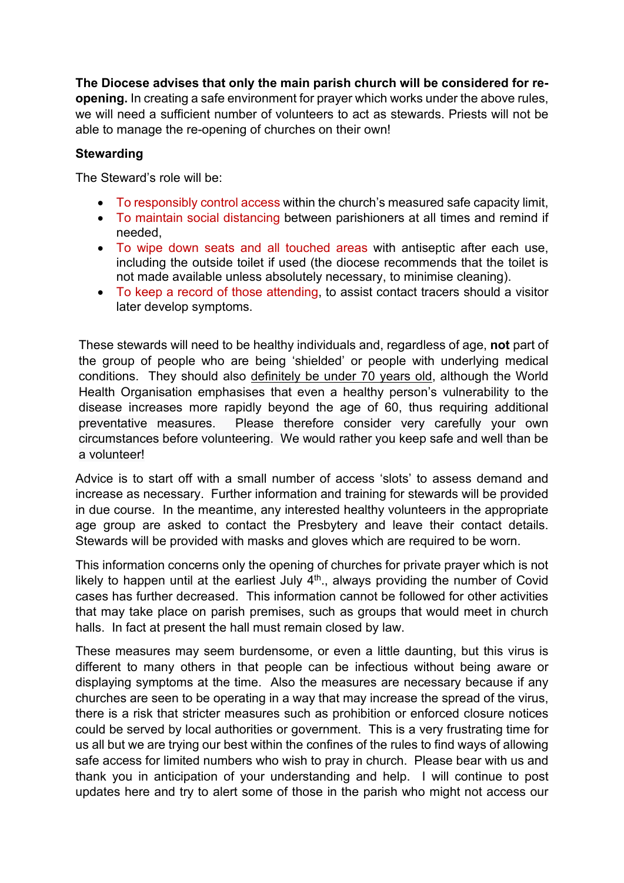**The Diocese advises that only the main parish church will be considered for reopening.** In creating a safe environment for prayer which works under the above rules, we will need a sufficient number of volunteers to act as stewards. Priests will not be able to manage the re-opening of churches on their own!

### **Stewarding**

The Steward's role will be:

- To responsibly control access within the church's measured safe capacity limit,
- To maintain social distancing between parishioners at all times and remind if needed,
- To wipe down seats and all touched areas with antiseptic after each use, including the outside toilet if used (the diocese recommends that the toilet is not made available unless absolutely necessary, to minimise cleaning).
- To keep a record of those attending, to assist contact tracers should a visitor later develop symptoms.

These stewards will need to be healthy individuals and, regardless of age, **not** part of the group of people who are being 'shielded' or people with underlying medical conditions. They should also definitely be under 70 years old, although the World Health Organisation emphasises that even a healthy person's vulnerability to the disease increases more rapidly beyond the age of 60, thus requiring additional preventative measures. Please therefore consider very carefully your own circumstances before volunteering. We would rather you keep safe and well than be a volunteer!

Advice is to start off with a small number of access 'slots' to assess demand and increase as necessary. Further information and training for stewards will be provided in due course. In the meantime, any interested healthy volunteers in the appropriate age group are asked to contact the Presbytery and leave their contact details. Stewards will be provided with masks and gloves which are required to be worn.

This information concerns only the opening of churches for private prayer which is not likely to happen until at the earliest July  $4<sup>th</sup>$ ., always providing the number of Covid cases has further decreased. This information cannot be followed for other activities that may take place on parish premises, such as groups that would meet in church halls. In fact at present the hall must remain closed by law.

These measures may seem burdensome, or even a little daunting, but this virus is different to many others in that people can be infectious without being aware or displaying symptoms at the time. Also the measures are necessary because if any churches are seen to be operating in a way that may increase the spread of the virus, there is a risk that stricter measures such as prohibition or enforced closure notices could be served by local authorities or government. This is a very frustrating time for us all but we are trying our best within the confines of the rules to find ways of allowing safe access for limited numbers who wish to pray in church. Please bear with us and thank you in anticipation of your understanding and help. I will continue to post updates here and try to alert some of those in the parish who might not access our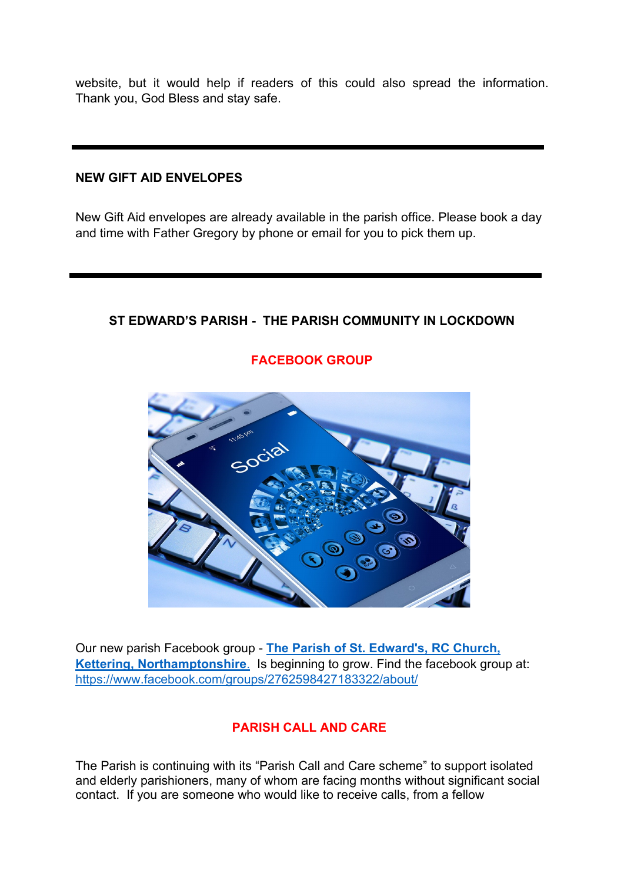website, but it would help if readers of this could also spread the information. Thank you, God Bless and stay safe.

### **NEW GIFT AID ENVELOPES**

New Gift Aid envelopes are already available in the parish office. Please book a day and time with Father Gregory by phone or email for you to pick them up.

### **ST EDWARD'S PARISH - THE PARISH COMMUNITY IN LOCKDOWN**



**FACEBOOK GROUP**

Our new parish Facebook group - **[The Parish of St. Edward's, RC C](tps://www.facebook.com/groups/2762598427183322/about/)hurch, [Kettering, Northamptonshire](tps://www.facebook.com/groups/2762598427183322/about/)**. Is beginning to grow. Find the facebook group at: <https://www.facebook.com/groups/2762598427183322/about/>

### **PARISH CALL AND CARE**

The Parish is continuing with its "Parish Call and Care scheme" to support isolated and elderly parishioners, many of whom are facing months without significant social contact. If you are someone who would like to receive calls, from a fellow